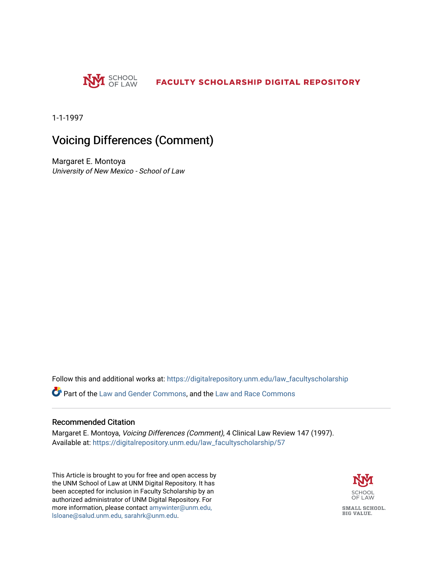

1-1-1997

# Voicing Differences (Comment)

Margaret E. Montoya University of New Mexico - School of Law

Follow this and additional works at: [https://digitalrepository.unm.edu/law\\_facultyscholarship](https://digitalrepository.unm.edu/law_facultyscholarship?utm_source=digitalrepository.unm.edu%2Flaw_facultyscholarship%2F57&utm_medium=PDF&utm_campaign=PDFCoverPages) 

Part of the [Law and Gender Commons,](http://network.bepress.com/hgg/discipline/1298?utm_source=digitalrepository.unm.edu%2Flaw_facultyscholarship%2F57&utm_medium=PDF&utm_campaign=PDFCoverPages) and the [Law and Race Commons](http://network.bepress.com/hgg/discipline/1300?utm_source=digitalrepository.unm.edu%2Flaw_facultyscholarship%2F57&utm_medium=PDF&utm_campaign=PDFCoverPages)

# Recommended Citation

Margaret E. Montoya, Voicing Differences (Comment), 4 Clinical Law Review 147 (1997). Available at: [https://digitalrepository.unm.edu/law\\_facultyscholarship/57](https://digitalrepository.unm.edu/law_facultyscholarship/57?utm_source=digitalrepository.unm.edu%2Flaw_facultyscholarship%2F57&utm_medium=PDF&utm_campaign=PDFCoverPages)

This Article is brought to you for free and open access by the UNM School of Law at UNM Digital Repository. It has been accepted for inclusion in Faculty Scholarship by an authorized administrator of UNM Digital Repository. For more information, please contact [amywinter@unm.edu,](mailto:amywinter@unm.edu,%20lsloane@salud.unm.edu,%20sarahrk@unm.edu)  [lsloane@salud.unm.edu, sarahrk@unm.edu.](mailto:amywinter@unm.edu,%20lsloane@salud.unm.edu,%20sarahrk@unm.edu)

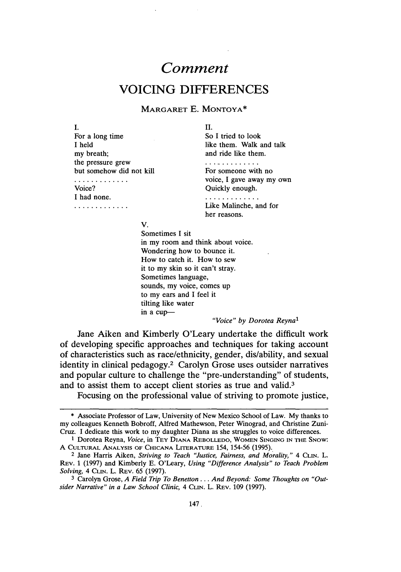# *Comment*  **VOICING DIFFERENCES**

#### MARGARET E. MONTOYA\*

I. For a long time I held my breath; the pressure grew but somehow did not kill For someone with no . . . . . . . . . . . . . .

I had none.

. . . . . . . . . . . . .

II.

So I tried to look like them. Walk and talk and ride like them.

. . . . . . . . . . . . . voice, I gave away my own Voice? Quickly enough.

> . . . . . . . . . . . . . Like Malinche, and for

her reasons.

v.

Sometimes I sit in my room and think about voice. Wondering how to bounce it. How to catch it. How to sew it to my skin so it can't stray. Sometimes language, sounds, my voice, comes up to my ears and I feel it tilting like water in a cup-

*"Voice" by Dorotea Reyna1* 

Jane Aiken and Kimberly O'Leary undertake the difficult work of developing specific approaches and techniques for taking account of characteristics such as race/ethnicity, gender, dis/ability, and sexual identity in clinical pedagogy.2 Carolyn Grose uses outsider narratives and popular culture to challenge the "pre-understanding" of students, and to assist them to accept client stories as true and valid.3

Focusing on the professional value of striving to promote justice,

<sup>\*</sup> Associate Professor of Law, University of New Mexico School of Law. My thanks to my colleagues Kenneth Bobroff, Alfred Mathewson, Peter Winograd, and Christine Zuni-Cruz. I dedicate this work to my daughter Diana as she struggles to voice differences.

<sup>1</sup> Dorotea Reyna, *Voice,* in TEY DIANA REBOLLEDO, WoMEN SINGING IN THE SNow: A CULTURAL ANALYSIS OF CHICANA LITERATURE 154, 154-56 (1995).

<sup>&</sup>lt;sup>2</sup> Jane Harris Aiken, *Striving to Teach "Justice, Fairness, and Morality,"* 4 CLIN. L. REV. 1 (1997) and Kimberly E. O'Leary, *Using "Difference Analysis" to Teach Problem Solving,* 4 CUN. L. REv. 65 (1997).

<sup>3</sup> Carolyn Grose, *A Field Trip To Benetton .* .. *And Beyond: Some Thoughts on "Outsider Narrative" in a Law School Clinic,* 4 CuN. L. REv. 109 (1997).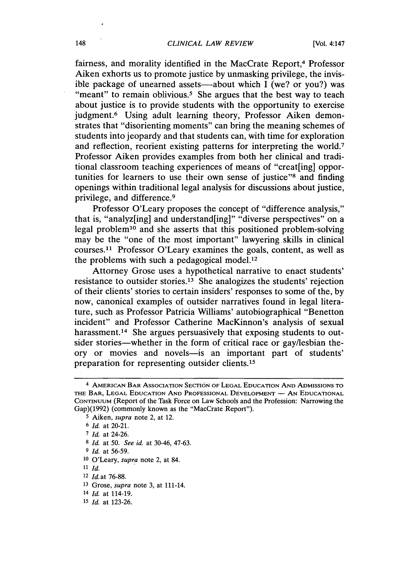fairness, and morality identified in the MacCrate Report,<sup>4</sup> Professor Aiken exhorts us to promote justice by unmasking privilege, the invisible package of unearned assets—-about which  $\overline{I}$  (we? or you?) was "meant" to remain oblivious.<sup>5</sup> She argues that the best way to teach about justice is to provide students with the opportunity to exercise judgment.<sup>6</sup> Using adult learning theory, Professor Aiken demonstrates that "disorienting moments" can bring the meaning schemes of students into jeopardy and that students can, with time for exploration and reflection, reorient existing patterns for interpreting the world.7 Professor Aiken provides examples from both her clinical and traditional classroom teaching experiences of means of "creat[ing] opportunities for learners to use their own sense of justice"8 and finding openings within traditional legal analysis for discussions about justice, privilege, and difference.9

Professor O'Leary proposes the concept of "difference analysis," that is, "analyz[ing] and understand[ing]" "diverse perspectives" on a legal problem<sup>10</sup> and she asserts that this positioned problem-solving may be the "one of the most important" lawyering skills in clinical courses.11 Professor O'Leary examines the goals, content, as well as the problems with such a pedagogical model.<sup>12</sup>

Attorney Grose uses a hypothetical narrative to enact students' resistance to outsider stories.13 She analogizes the students' rejection of their clients' stories to certain insiders' responses to some of the, by now, canonical examples of outsider narratives found in legal literature, such as Professor Patricia Williams' autobiographical "Benetton incident" and Professor Catherine MacKinnon's analysis of sexual harassment.<sup>14</sup> She argues persuasively that exposing students to outsider stories—whether in the form of critical race or gay/lesbian theory or movies and novels-is an important part of students' preparation for representing outsider clients. <sup>15</sup>

11 *Id.* .

12 *Id.at* 76-88.

14 *Id.* at 114-19.

<sup>4</sup> AMERICAN BAR ASSOCIATION SECTION OF LEGAL EDUCATION ANo ADMISSIONS TO THE BAR, LEGAL EDUCATION AND PROFESSIONAL DEVELOPMENT - AN EDUCATIONAL CONTINUUM (Report of the Task Force on Law Schools and the Profession: Narrowing the Gap)(1992) (commonly known as the "MacCrate Report").

*<sup>5</sup>* Aiken, *supra* note 2, at 12.

<sup>6</sup> *Id.* at 20-21.

<sup>7</sup> *Id.* at 24-26.

<sup>8</sup> *Id.* at 50. *See id.* at 30-46, 47-63.

<sup>9</sup> *Id.* at 56-59.

<sup>10</sup> O'Leary, *supra* note 2, at 84.

<sup>13</sup> Grose, *supra* note 3, at 111-14.

<sup>15</sup> *Id.* at 123-26.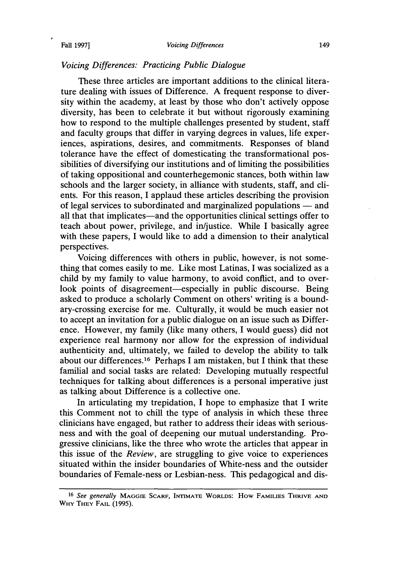#### Fall 1997] *Voicing Differences* 149

#### *Voicing Differences: Practicing Public Dialogue*

These three articles are important additions to the clinical literature dealing with issues of Difference. A frequent response to diversity within the academy, at least by those who don't actively oppose diversity, has been to celebrate it but without rigorously examining how to respond to the multiple challenges presented by student, staff and faculty groups that differ in varying degrees in values, life experiences, aspirations, desires, and commitments. Responses of bland tolerance have the effect of domesticating the transformational possibilities of diversifying our institutions and of limiting the possibilities of taking oppositional and counterhegemonic stances, both within law schools and the larger society, in alliance with students, staff, and clients. For this reason, I applaud these articles describing the provision of legal services to subordinated and marginalized populations — and all that that implicates—and the opportunities clinical settings offer to teach about power, privilege, and in/justice. While I basically agree with these papers, I would like to add a dimension to their analytical perspectives.

Voicing differences with others in public, however, is not something that comes easily to me. Like most Latinas, I was socialized as a child by my family to value harmony, to avoid conflict, and to overlook points of disagreement—especially in public discourse. Being asked to produce a scholarly Comment on others' writing is a boundary-crossing exercise for me. Culturally, it would be much easier not to accept an invitation for a public dialogue on an issue such as Difference. However, my family (like many others, I would guess) did not experience real harmony nor allow for the expression of individual authenticity and, ultimately, we failed to develop the ability to talk about our differences.16 Perhaps I am mistaken, but I think that these familial and social tasks are related: Developing mutually respectful techniques for talking about differences is a personal imperative just as talking about Difference is a collective one.

In articulating my trepidation, I hope to emphasize that I write this Comment not to chill the type of analysis in which these three clinicians have engaged, but rather to address their ideas with seriousness and with the goal of deepening our mutual understanding. Progressive clinicians, like the three who wrote the articles that appear in this issue of the *Review,* are struggling to give voice to experiences situated within the insider boundaries of White-ness and the outsider boundaries of Female-ness or Lesbian-ness. This pedagogical and dis-

<sup>16</sup>*See generally* MAGGIE SCARF, INTIMATE WoRLos: How FAMILIES THRIVE AND WHY THEY FAIL (1995).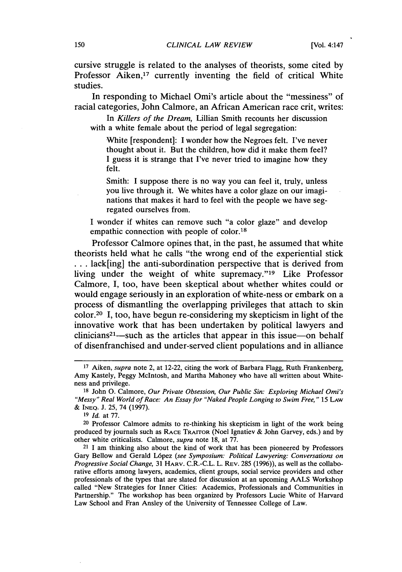cursive struggle is related to the analyses of theorists, some cited by Professor Aiken,<sup>17</sup> currently inventing the field of critical White studies.

In responding to Michael Omi's article about the "messiness" of racial categories, John Calmore, an African American race crit, writes:

In *Killers of the Dream,* Lillian Smith recounts her discussion with a white female about the period of legal segregation:

White [respondent]: I wonder how the Negroes felt. I've never thought about it. But the children, how did it make them feel? I guess it is strange that I've never tried to imagine how they felt.

Smith: I suppose there is no way you can feel it, truly, unless you live through it. We whites have a color glaze on our imaginations that makes it hard to feel with the people we have segregated ourselves from.

I wonder if whites can remove such "a color glaze" and develop empathic connection with people of color.<sup>18</sup>

Professor Calmore opines that, in the past, he assumed that white theorists held what he calls "the wrong end of the experiential stick ... lack[ing] the anti-subordination perspective that is derived from living under the weight of white supremacy."19 Like Professor Calmore, I, too, have been skeptical about whether whites could or would engage seriously in an exploration of white-ness or embark on a process of dismantling the overlapping privileges that attach to skin color.20 I, too, have begun re-considering my skepticism in light of the innovative work that has been undertaken by political lawyers and  $clinicians<sup>21</sup>$ —such as the articles that appear in this issue—on behalf of disenfranchised and under-served client populations and in alliance

<sup>17</sup> Aiken, *supra* note 2, at 12-22, citing the work of Barbara Flagg, Ruth Frankenberg, Amy Kastely, Peggy Mcintosh, and Martha Mahoney who have all written about Whiteness and privilege.

<sup>18</sup> John 0. Calmore, *Our Private Obsession, Our Public Sin: Exploring Michael Omi's "Messy" Real World of Race: An Essay for "Naked People Longing to Swim Free,"* 15 LAW & INEQ. J. 25, 74 (1997).

<sup>19</sup> *Id.* at 77.

<sup>20</sup> Professor Calmore admits to re-thinking his skepticism in light of the work being produced by journals such as RAcE TRAITOR (Noel Ignatiev & John Garvey, eds.) and by other white criticalists. Calmore, *supra* note 18, at 77.

<sup>21</sup> I am thinking also about the kind of work that has been pioneered by Professors Gary Bellow and Gerald L6pez *(see Symposium: Political Lawyering: Conversations on Progressive Social Change,* 31 HARV. C.R.-C.L. L. REv. 285 (1996)), as well as the collaborative efforts among lawyers, academics, client groups, social service providers and other professionals of the types that are slated for discussion at an upcoming AALS Workshop called "New Strategies for Inner Cities: Academics, Professionals and Communities in Partnership." The workshop has been organized by Professors Lucie White of Harvard Law School and Fran Ansley of the University of Tennessee College of Law.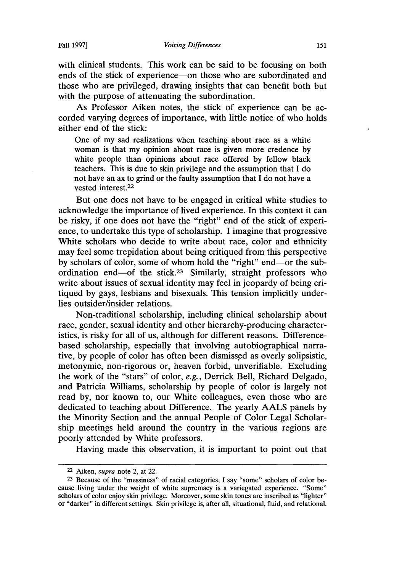with clinical students. This work can be said to be focusing on both ends of the stick of experience-on those who are subordinated and those who are privileged, drawing insights that can benefit both but with the purpose of attenuating the subordination.

As Professor Aiken notes, the stick of experience can be accorded varying degrees of importance, with little notice of who holds either end of the stick:

One of my sad realizations when teaching about race as a white woman is that my opinion about race is given more credence by white people than opinions about race offered by fellow black teachers. This is due to skin privilege and the assumption that I do not have an ax to grind or the faulty assumption that I do not have a vested interest.22

But one does not have to be engaged in critical white studies to acknowledge the importance of lived experience. In this context it can be risky, if one does not have the "right" end of the stick of experience, to undertake this type of scholarship. I imagine that progressive White scholars who decide to write about race, color and ethnicity may feel some trepidation about being critiqued from this perspective by scholars of color, some of whom hold the "right" end-or the subordination end—of the stick.<sup>23</sup> Similarly, straight professors who write about issues of sexual identity may feel in jeopardy of being critiqued by gays, lesbians and bisexuals. This tension implicitly underlies outsider/insider relations.

Non-traditional scholarship, including clinical scholarship about race, gender, sexual identity and other hierarchy-producing characteristics, is risky for all of us, although for different reasons. Differencebased scholarship, especially that involving autobiographical narrative, by people of color has often been dismissed as overly solipsistic, metonymic, non-rigorous or, heaven forbid, unverifiable. Excluding the work of the "stars" of color, *e.g.,* Derrick Bell, Richard Delgado, and Patricia Williams, scholarship by people of color is largely not read by, nor known to, our White colleagues, even those who are dedicated to teaching about Difference. The yearly AALS panels by the Minority Section and the annual People of Color Legal Scholarship meetings held around the country in the various regions are poorly attended by White professors.

Having made this observation, it is important to point out that

<sup>22</sup>Aiken, *supra* note 2, at 22.

<sup>23</sup> Because of the "messiness".of racial categories, I say "some" scholars of color because living under the weight of white supremacy is a variegated experience. "Some" scholars of color enjoy skin privilege. Moreover, some skin tones are inscribed as "lighter" or "darker" in different settings. Skin privilege is, after all, situational, fluid, and relational.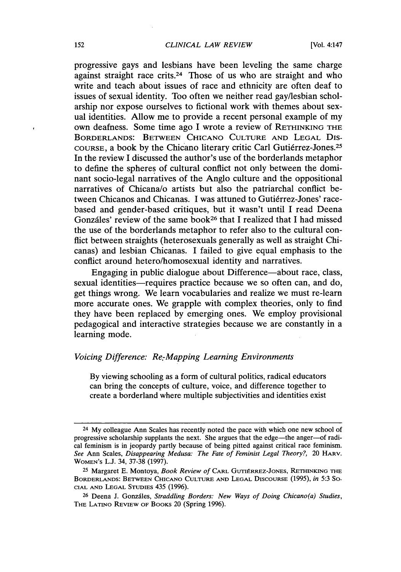progressive gays and lesbians have been leveling the same charge against straight race crits.24 Those of us who are straight and who write and teach about issues of race and ethnicity are often deaf to issues of sexual identity. Too often we neither read gay/lesbian scholarship nor expose ourselves to fictional work with themes about sexual identities. Allow me to provide a recent personal example of my own deafness. Some time ago I wrote a review of RETHINKING THE BORDERLANDS: BETWEEN CHICANO CULTURE AND LEGAL DIS-COURSE, a book by the Chicano literary critic Carl Gutierrez-Jones.25 In the review I discussed the author's use of the borderlands metaphor to define the spheres of cultural conflict not only between the dominant socio-legal narratives of the Anglo culture and the oppositional narratives of Chicana/o artists but also the patriarchal conflict between Chicanos and Chicanas. I was attuned to Gutiérrez-Jones' racebased and gender-based critiques, but it wasn't until I read Deena Gonzales' review of the same book26 that I realized that I had missed the use of the borderlands metaphor to refer also to the cultural conflict between straights (heterosexuals generally as well as straight Chicanas) and lesbian Chicanas. I failed to give equal emphasis to the conflict around hetero/homosexual identity and narratives.

Engaging in public dialogue about Difference—about race, class, sexual identities—requires practice because we so often can, and do, get things wrong. We learn vocabularies and realize we must re-learn more accurate ones. We grapple with complex theories, only to find they have been replaced by emerging ones. We employ provisional pedagogical and interactive strategies because we are constantly in a learning mode.

### *Voicing Difference: Re.-Mapping Learning Environments*

By viewing schooling as a form of cultural politics, radical educators can bring the concepts of culture, voice, and difference together to create a borderland where multiple subjectivities and identities exist

<sup>24</sup> My colleague Ann Scales has recently noted the pace with which one new school of progressive scholarship supplants the next. She argues that the edge-the anger-of radical feminism is in jeopardy partly because of being pitted against critical race feminism. *See* Ann Scales, *Disappearing Medusa: The Fate of Feminist Legal Theory?,* 20 HARV. WOMEN'S L.J. 34, 37-38 (1997).

<sup>25</sup> Margaret E. Montoya, *Book Review of* CARL GUTIERREZ-JONES, RETHINKING THE BORDERLANDS: BETWEEN CHICANO CULTURE AND LEGAL DISCOURSE (1995), *in* 5:3 SO-CIAL AND LEGAL STUDIES 435 (1996).

<sup>26</sup> Deena J. Gonzales, *Straddling Borders: New Ways of Doing Chicano(a) Studies,*  THE LATINO REVIEW OF BOOKS 20 (Spring 1996).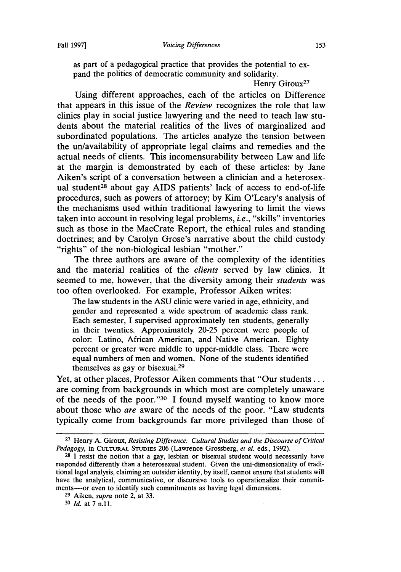as part of a pedagogical practice that provides the potential to expand the politics of democratic community and solidarity.

Henry Giroux<sup>27</sup>

Using different approaches, each of the articles on Difference that appears in this issue of the *Review* recognizes the role that law clinics play in social justice lawyering and the need to teach law students about the material realities of the lives of marginalized and subordinated populations. The articles analyze the tension between the un/availability of appropriate legal claims and remedies and the actual needs of clients. This incomensurability between Law and life at the margin is demonstrated by each of these articles: by Jane Aiken's script of a conversation between a clinician and a heterosexual student<sup>28</sup> about gay AIDS patients' lack of access to end-of-life procedures, such as powers of attorney; by Kim O'Leary's analysis of the mechanisms used within traditional lawyering to limit the views taken into account in resolving legal problems, *i.e.,* "skills" inventories such as those in the MacCrate Report, the ethical rules and standing doctrines; and by Carolyn Grose's narrative about the child custody "rights" of the non-biological lesbian "mother."

The three authors are aware of the complexity of the identities and the material realities of the *clients* served by law clinics. It seemed to me, however, that the diversity among their *students* was too often overlooked. For example, Professor Aiken writes:

The law students in the ASU clinic were varied in age, ethnicity, and gender and represented a wide spectrum of academic class rank. Each semester, I supervised approximately ten students, generally in their twenties. Approximately 20-25 percent were people of color: Latino, African American, and Native American. Eighty percent or greater were middle to upper-middle class. There were equal numbers of men and women. None of the students identified themselves as gay or bisexual.29

Yet, at other places, Professor Aiken comments that "Our students . . . are coming from backgrounds in which most are completely unaware of the needs of the poor. "30 I found myself wanting to know more about those who *are* aware of the needs of the poor. "Law students typically come from backgrounds far more privileged than those of

<sup>27</sup> Henry A. Giroux, *Resisting Difference: Cultural Studies and the Discourse of Critical Pedagogy,* in CULTURAL STUDIES 206 (Lawrence Grossberg, *et al.* eds., 1992).

 $28$  I resist the notion that a gay, lesbian or bisexual student would necessarily have responded differently than a heterosexual student. Given the uni-dimensionality of traditional legal analysis, claiming an outsider identity, by itself, cannot ensure that students will have the analytical, communicative, or discursive tools to operationalize their commitments----or even to identify such commitments as having legal dimensions.

<sup>29</sup> Aiken, *supra* note 2, at 33.

<sup>30</sup> *Id.* at 7 n.11.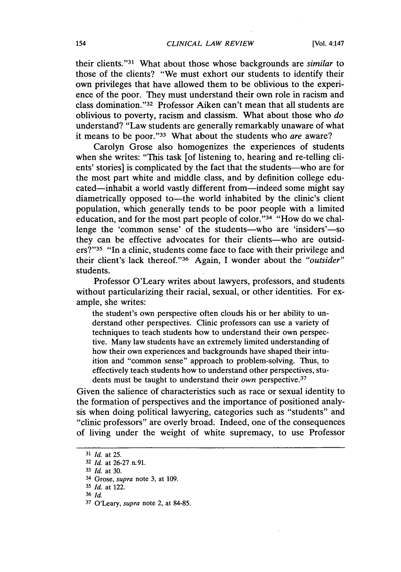their clients. "31 What about those whose backgrounds are *similar* to those of the clients? "We must exhort our students to identify their own privileges that have allowed them to be oblivious to the experience of the poor. They must understand their own role in racism and class domination. "32 Professor Aiken can't mean that all students are oblivious to poverty, racism and classism. What about those who *do*  understand? "Law students are generally remarkably unaware of what it means to be poor."33 What about the students who *are* aware?

Carolyn Grose also homogenizes the experiences of students when she writes: "This task [of listening to, hearing and re-telling clients' stories] is complicated by the fact that the students-who are for the most part white and middle class, and by definition college educated—inhabit a world vastly different from—indeed some might say diametrically opposed to—the world inhabited by the clinic's client population, which generally tends to be poor people with a limited education, and for the most part people of color. "34 "How do we challenge the 'common sense' of the students-who are 'insiders'-so they can be effective advocates for their clients-who are outsiders?"<sup>35</sup> "In a clinic, students come face to face with their privilege and their client's lack thereof."36 Again, I wonder about the *"outsider"*  students.

Professor O'Leary writes about lawyers, professors, and students without particularizing their racial, sexual, or other identities. For example, she writes:

the student's own perspective often clouds his or her ability to understand other perspectives. Clinic professors can use a variety of techniques to teach students how to understand their own perspective. Many law students have an extremely limited understanding of how their own experiences and backgrounds have shaped their intuition and "common sense" approach to problem-solving. Thus, to effectively teach students how to understand other perspectives, students must be taught to understand their own perspective.<sup>37</sup>

Given the salience of characteristics such as race or sexual identity to the formation of perspectives and the importance of positioned analysis when doing political lawyering, categories such as "students" and "clinic professors" are overly broad. Indeed, one of the consequences of living under the weight of white supremacy, to use Professor

<sup>31</sup> *Id.* at 25.

<sup>32</sup> *Id.* at 26-27 n. 91.

<sup>33</sup>*Id.* at 30.

<sup>34</sup> Grose, *supra* note 3, at 109.

<sup>35</sup>*Id.* at 122.

<sup>36</sup> *Id.* 

<sup>37</sup> O'Leary, *supra* note 2, at 84-85.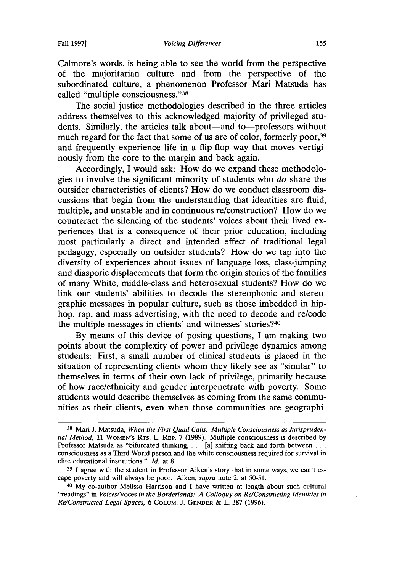Calmore's words, is being able to see the world from the perspective of the majoritarian culture and from the perspective of the subordinated culture, a phenomenon Professor Mari Matsuda has called "multiple consciousness. "38

The social justice methodologies described in the three articles address themselves to this acknowledged majority of privileged students. Similarly, the articles talk about—and to—professors without much regard for the fact that some of us are of color, formerly poor,<sup>39</sup> and frequently experience life in a flip-flop way that moves vertiginously from the core to the margin and back again.

Accordingly, I would ask: How do we expand these methodologies to involve the significant minority of students who *do* share the outsider characteristics of clients? How do we conduct classroom discussions that begin from the understanding that identities are fluid, multiple, and unstable and in continuous re/construction? How do we counteract the silencing of the students' voices about their lived experiences that is a consequence of their prior education, including most particularly a direct and intended effect of traditional legal pedagogy, especially on outsider students? How do we tap into the diversity of experiences about issues of language loss, class-jumping and diasporic displacements that form the origin stories of the families of many White, middle-class and heterosexual students? How do we link our students' abilities to decode the stereophonic and stereographic messages in popular culture, such as those imbedded in hiphop, rap, and mass advertising, with the need to decode and re/code the multiple messages in clients' and witnesses' stories?40

By means of this device of posing questions, I am making two points about the complexity of power and privilege dynamics among students: First, a small number of clinical students is placed in the situation of representing clients whom they likely see as "similar" to themselves in terms of their own lack of privilege, primarily because of how race/ethnicity and gender interpenetrate with poverty. Some students would describe themselves as coming from the same communities as their clients, even when those communities are geographi-

<sup>38</sup> Mari J. Matsuda, *When the First Quail Calls: Multiple Consciousness as Jurisprudential Method,* 11 WoMEN's RTS. L. REP. 7 (1989). Multiple consciousness is described by Professor Matsuda as "bifurcated thinking, . . . [a] shifting back and forth between . . . consciousness as a Third World person and the white consciousness required for survival in elite educational institutions." *Id.* at 8.

<sup>39</sup> I agree with the student in Professor Aiken's story that in some ways, we can't escape poverty and will always be poor. Aiken, *supra* note 2, at 50-51.

<sup>40</sup> My co-author Melissa Harrison and I have written at length about such cultural "readings" in *VoicesNoces in the Borderlands: A Colloquy on Re/Constructing Identities in Re/Constructed Legal Spaces,* 6 COLUM. J. GENDER & L. 387 (1996).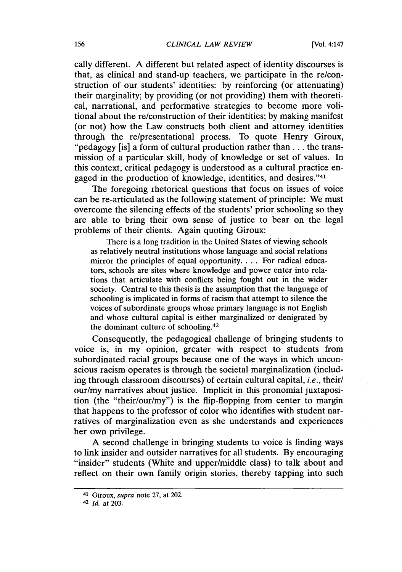cally different. A different but related aspect of identity discourses is that, as clinical and stand-up teachers, we participate in the re/construction of our students' identities: by reinforcing (or attenuating) their marginality; by providing (or not providing) them with theoretical, narrational, and performative strategies to become more volitional about the re/construction of their identities; by making manifest (or not) how the Law constructs both client and attorney identities through the re/presentational process. To quote Henry Giroux, "pedagogy [is] a form of cultural production rather than . . . the transmission of a particular skill, body of knowledge or set of values. In this context, critical pedagogy is understood as a cultural practice engaged in the production of knowledge, identities, and desires. "41

The foregoing rhetorical questions that focus on issues of voice can be re-articulated as the following statement of principle: We must overcome the silencing effects of the students' prior schooling so they are able to bring their own sense of justice to bear on the legal problems of their clients. Again quoting Giroux:

There is a long tradition in the United States of viewing schools as relatively neutral institutions whose language and social relations mirror the principles of equal opportunity.... For radical educators, schools are sites where knowledge and power enter into relations that articulate with conflicts being fought out in the wider society. Central to this thesis is the assumption that the language of schooling is implicated in forms of racism that attempt to silence the voices of subordinate groups whose primary language is not English and whose cultural capital is either marginalized or denigrated by the dominant culture of schooling.42

Consequently, the pedagogical challenge of bringing students to voice is, in my opinion, greater with respect to students from subordinated racial groups because one of the ways in which unconscious racism operates is through the societal marginalization (including through classroom discourses) of certain cultural capital, *i.e.,* their/ our/my narratives about justice. Implicit in this pronomial juxtaposition (the "their/our/my") is the flip-flopping from center to margin that happens to the professor of color who identifies with student narratives of marginalization even as she understands and experiences her own privilege.

A second challenge in bringing students to voice is finding ways to link insider and outsider narratives for all students. By encouraging "insider" students (White and upper/middle class) to talk about and reflect on their own family origin stories, thereby tapping into such

<sup>41</sup> Giroux, *supra* note 27, at 202.

<sup>42</sup> *Id.* at 203.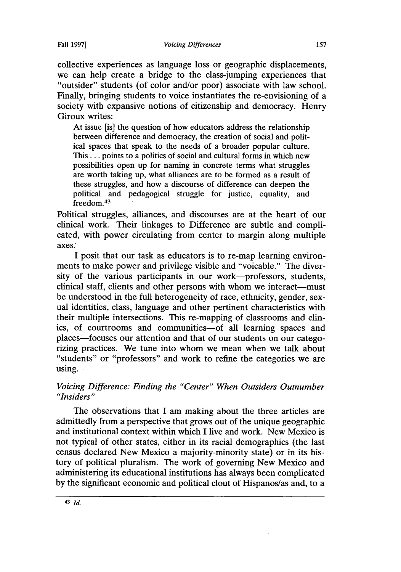collective experiences as language loss or geographic displacements, we can help create a bridge to the class-jumping experiences that "outsider" students (of color and/or poor) associate with law school. Finally, bringing students to voice instantiates the re-envisioning of a society with expansive notions of citizenship and democracy. Henry Giroux writes:

At issue (is] the question of how educators address the relationship between difference and democracy, the creation of social and political spaces that speak to the needs of a broader popular culture. This ... points to a politics of social and cultural forms in which new possibilities open up for naming in concrete terms what struggles are worth taking up, what alliances are to be formed as a result of these struggles, and how a discourse of difference can deepen the political and pedagogical struggle for justice, equality, and freedom.43

Political struggles, alliances, and discourses are at the heart of our clinical work. Their linkages to Difference are subtle and complicated, with power circulating from center to margin along multiple axes.

I posit that our task as educators is to re-map learning environments to make power and privilege visible and "voicable." The diversity of the various participants in our work-professors, students, clinical staff, clients and other persons with whom we interact-must be understood in the full heterogeneity of race, ethnicity, gender, sexual identities, class, language and other pertinent characteristics with their multiple intersections. This re-mapping of classrooms and clinics, of courtrooms and communities-of all learning spaces and places-focuses our attention and that of our students on our categorizing practices. We tune into whom we mean when we talk about "students" or "professors" and work to refine the categories we are using.

# *Voicing Difference: Finding the "Center" When Outsiders Outnumber "Insiders"*

The observations that I am making about the three articles are admittedly from a perspective that grows out of the unique geographic and institutional context within which I live and work. New Mexico is not typical of other states, either in its racial demographics (the last census declared New Mexico a majority-minority state) or in its history of political pluralism. The work of governing New Mexico and administering its educational institutions has always been complicated by the significant economic and political clout of Hispanos/as and, to a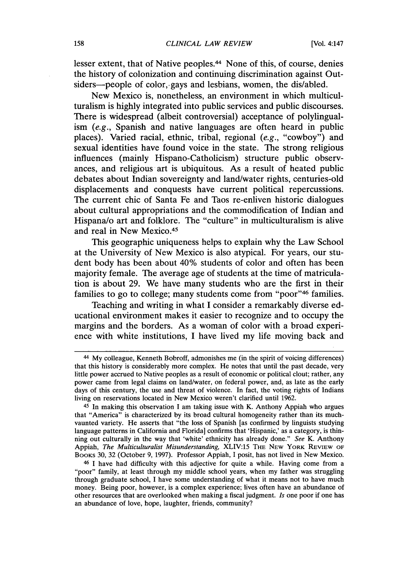lesser extent, that of Native peoples.44 None of this, of course, denies the history of colonization and continuing discrimination against Outsiders-people of color, gays and lesbians, women, the dis/abled.

New Mexico is, nonetheless, an environment in which multiculturalism is highly integrated into public services and public discourses. There is widespread (albeit controversial) acceptance of polylingualism *(e.g.,* Spanish and native languages are often heard in public places). Varied racial, ethnic, tribal, regional *(e.g.,* "cowboy") and sexual identities have found voice in the state. The strong religious influences (mainly Hispano-Catholicism) structure public observances, and religious art is ubiquitous. As a result of heated public debates about Indian sovereignty and land/water rights, centuries-old displacements and conquests have current political repercussions. The current chic of Santa Fe and Taos re-enliven historic dialogues about cultural appropriations and the commodification of Indian and Hispana/o art and folklore. The "culture" in multiculturalism is alive and real in New Mexico.45

This geographic uniqueness helps to explain why the Law School at the University of New Mexico is also atypical. For years, our student body has been about 40% students of color and often has been majority female. The average age of students at the time of matriculation is about 29. We have many students who are the first in their families to go to college; many students come from "poor"46 families.

Teaching and writing in what I consider a remarkably diverse educational environment makes it easier to recognize and to occupy the margins and the borders. As a woman of color with a broad experience with white institutions, I have lived my life moving back and

<sup>44</sup> My colleague, Kenneth Bobroff, admonishes me (in the spirit of voicing differences) that this history is considerably more complex. He notes that until the past decade, very little power accrued to Native peoples as a result of economic or political clout; rather, any power came from legal claims on land/water, on federal power, and, as late as the early days of this century, the use and threat of violence. In fact, the voting rights of Indians living on reservations located in New Mexico weren't clarified until 1962.

<sup>45</sup> In making this observation I am taking issue with K. Anthony Appiah who argues that "America" is characterized by its broad cultural homogeneity rather than its muchvaunted variety. He asserts that "the loss of Spanish [as confirmed by linguists studying language patterns in California and Florida] confirms that 'Hispanic,' as a category, is thinning out culturally in the way that 'white' ethnicity has already done." *See* K. Anthony Appiah, *The Multiculturalist Misunderstanding*, XLIV:15 THE NEW YORK REVIEW OF BOOKS 30, 32 (October 9, 1997). Professor Appiah, I posit, has not lived in New Mexico.

<sup>46</sup> I have had difficulty with this adjective for quite a while. Having come from a "poor" family, at least through my middle school years, when my father was struggling through graduate school, I have some understanding of what it means not to have much money. Being poor, however, is a complex experience; lives often have an abundance of other resources that are overlooked when making a fiscal judgment. *Is* one poor if one has an abundance of love, hope, laughter, friends, community?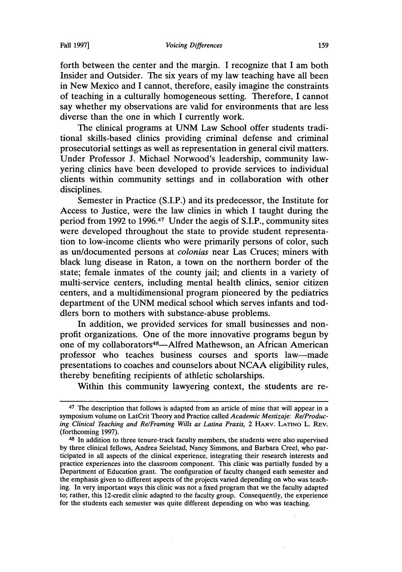forth between the center and the margin. I recognize that I am both Insider and Outsider. The six years of my law teaching have all been in New Mexico and I cannot, therefore, easily imagine the constraints of teaching in a culturally homogeneous setting. Therefore, I cannot say whether my observations are valid for environments that are less diverse than the one in which I currently work.

The clinical programs at UNM Law School offer students traditional skills-based clinics providing criminal defense and criminal prosecutorial settings as well as representation in general civil matters. Under Professor J. Michael Norwood's leadership, community lawyering clinics have been developed to provide services to individual clients within community settings and in collaboration with other disciplines.

Semester in Practice (S.I.P.) and its predecessor, the Institute for Access to Justice, were the law clinics in which I taught during the period from 1992 to 1996.47 Under the aegis of S.I.P., community sites were developed throughout the state to provide student representation to low-income clients who were primarily persons of color, such as un/documented persons at *colonias* near Las Cruces; miners with black lung disease in Raton, a town on the northern border of the state; female inmates of the county jail; and clients in a variety of multi-service centers, including mental health clinics, senior citizen centers, and a multidimensional program pioneered by the pediatrics department of the UNM medical school which serves infants and toddlers born to mothers with substance-abuse problems.

In addition, we provided services for small businesses and nonprofit organizations. One of the more innovative programs begun by one of my collaborators<sup>48</sup>—Alfred Mathewson, an African American professor who teaches business courses and sports law-made presentations to coaches and counselors about NCAA eligibility rules, thereby benefiting recipients of athletic scholarships.

Within this community lawyering context, the students are re-

<sup>&</sup>lt;sup>47</sup> The description that follows is adapted from an article of mine that will appear in a symposium volume on LatCrit Theory and Practice called *Academic Mestizaje: Re/Producing Clinical Teaching and Re/Framing Wills as Latina Praxis,* 2 HARV. LATINO L. REv. (forthcoming 1997).

<sup>48</sup> In addition to three tenure-track faculty members, the students were also supervised by three clinical fellows, Andrea Seielstad, Nancy Simmons, and Barbara Creel, who participated in all aspects of the clinical experience, integrating their research interests and practice experiences into the classroom component. This clinic was partially funded by a Department of Education grant. The configuration of faculty changed each semester and the emphasis given to different aspects of the projects varied depending on who was teaching. In very important ways this clinic was not a fixed program that we the faculty adapted to; rather, this 12-credit clinic adapted to the faculty group. Consequently, the experience for the students each semester was quite different depending on who was teaching.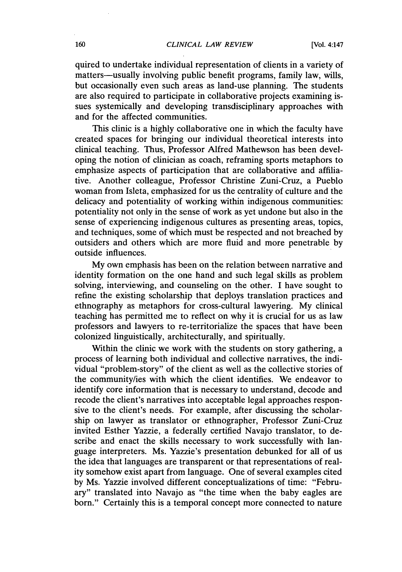quired to undertake individual representation of clients in a variety of matters-usually involving public benefit programs, family law, wills, but occasionally even such areas as land-use planning. The students are also required to participate in collaborative projects examining issues systemically and developing transdisciplinary approaches with and for the affected communities.

This clinic is a highly collaborative one in which the faculty have created spaces for bringing our individual theoretical interests into clinical teaching. Thus, Professor Alfred Mathewson has been developing the notion of clinician as coach, reframing sports metaphors to emphasize aspects of participation that are collaborative and affiliative. Another colleague, Professor Christine Zuni-Cruz, a Pueblo woman from Isleta, emphasized for us the centrality of culture and the delicacy and potentiality of working within indigenous communities: potentiality not only in the sense of work as yet undone but also in the sense of experiencing indigenous cultures as presenting areas, topics, and techniques, some of which must be respected and not breached by outsiders and others which are more fluid and more penetrable by outside influences.

My own emphasis has been on the relation between narrative and identity formation on the one hand and such legal skills as problem solving, interviewing, and counseling on the other. I have sought to refine the existing scholarship that deploys translation practices and ethnography as metaphors for cross-cultural lawyering. My clinical teaching has permitted me to reflect on why it is crucial for us as law professors and lawyers to re-territorialize the spaces that have been colonized linguistically, architecturally, and spiritually.

Within the clinic we work with the students on story gathering, a process of learning both individual and collective narratives, the individual "problem-story" of the client as well as the collective stories of the community/ies with which the client identifies. We endeavor to identify core information that is necessary to understand, decode and recode the client's narratives into acceptable legal approaches responsive to the client's needs. For example, after discussing the scholarship on lawyer as translator or ethnographer, Professor Zuni-Cruz invited Esther Yazzie, a federally certified Navajo translator, to describe and enact the skills necessary to work successfully with language interpreters. Ms. Yazzie's presentation debunked for all of us the idea that languages are transparent or that representations of reality somehow exist apart from language. One of several examples cited by Ms. Yazzie involved different conceptualizations of time: "February" translated into Navajo as "the time when the baby eagles are born." Certainly this is a temporal concept more connected to nature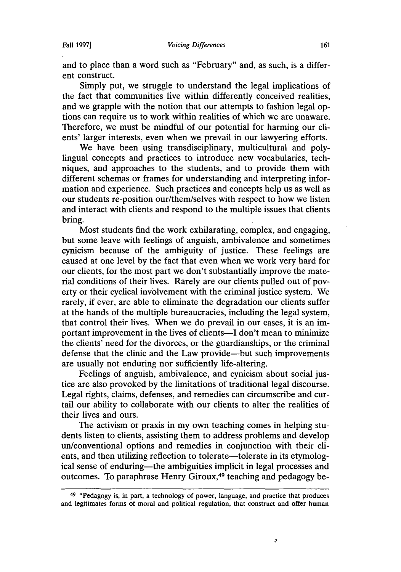and to place than a word such as "February" and, as such, is a different construct.

Simply put, we struggle to understand the legal implications of the fact that communities live within differently conceived realities, and we grapple with the notion that our attempts to fashion legal options can require us to work within realities of which we are unaware. Therefore, we must be mindful of our potential for harming our clients' larger interests, even when we prevail in our lawyering efforts.

We have been using transdisciplinary, multicultural and polylingual concepts and practices to introduce new vocabularies, techniques, and approaches to the students, and to provide them with different schemas or frames for understanding and interpreting information and experience. Such practices and concepts help us as well as our students re-position our/them/selves with respect to how we listen and interact with clients and respond to the multiple issues that clients bring.

Most students find the work exhilarating, complex, and engaging, but some leave with feelings of anguish, ambivalence and sometimes cynicism because of the ambiguity of justice. These feelings are caused at one level by the fact that even when we work very hard for our clients, for the most part we don't substantially improve the material conditions of their lives. Rarely are our clients pulled out of poverty or their cyclical involvement with the criminal justice system. We rarely, if ever, are able to eliminate the degradation our clients suffer at the hands of the multiple bureaucracies, including the legal system, that control their lives. When we do prevail in our cases, it is an important improvement in the lives of clients—I don't mean to minimize the clients' need for the divorces, or the guardianships, or the criminal defense that the clinic and the Law provide-but such improvements are usually not enduring nor sufficiently life-altering.

Feelings of anguish, ambivalence, and cynicism about social justice are also provoked by the limitations of traditional legal discourse. Legal rights, claims, defenses, and remedies can circumscribe and curtail our ability to collaborate with our clients to alter the realities of their lives and ours.

The activism or praxis in my own teaching comes in helping students listen to clients, assisting them to address problems and develop un/conventional options and remedies in conjunction with their clients, and then utilizing reflection to tolerate—tolerate in its etymological sense of enduring—the ambiguities implicit in legal processes and outcomes. To paraphrase Henry Giroux,49 teaching and pedagogy be-

*0* 

<sup>49 &</sup>quot;Pedagogy is, in part, a technology of power, language, and practice that produces and legitimates forms of moral and political regulation, that construct and offer human